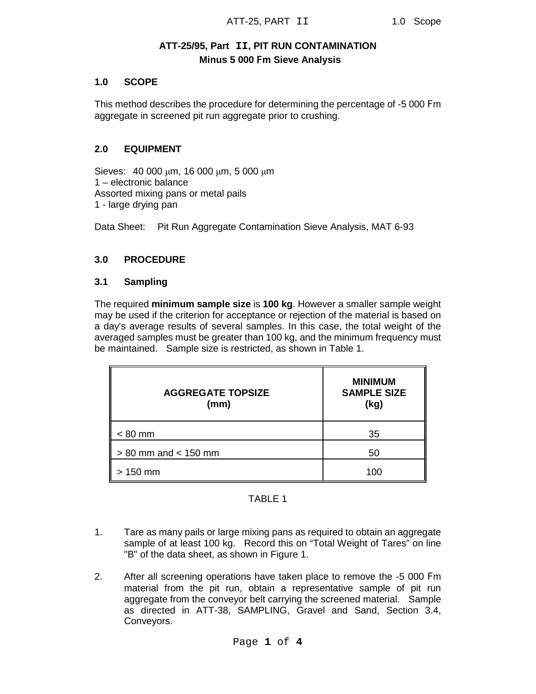# **ATT-25/95, Part II, PIT RUN CONTAMINATION Minus 5 000** F**m Sieve Analysis**

## **1.0 SCOPE**

This method describes the procedure for determining the percentage of -5 000 Fm aggregate in screened pit run aggregate prior to crushing.

#### **2.0 EQUIPMENT**

Sieves: 40 000 μm, 16 000 μm, 5 000 μm 1 – electronic balance Assorted mixing pans or metal pails 1 - large drying pan

Data Sheet: Pit Run Aggregate Contamination Sieve Analysis, MAT 6-93

### **3.0 PROCEDURE**

#### **3.1 Sampling**

The required **minimum sample size** is **100 kg**. However a smaller sample weight may be used if the criterion for acceptance or rejection of the material is based on a day's average results of several samples. In this case, the total weight of the averaged samples must be greater than 100 kg, and the minimum frequency must be maintained. Sample size is restricted, as shown in Table 1.

| <b>AGGREGATE TOPSIZE</b><br>(mm) | <b>MINIMUM</b><br><b>SAMPLE SIZE</b><br>(kg) |
|----------------------------------|----------------------------------------------|
| $< 80$ mm                        | 35                                           |
| $> 80$ mm and $< 150$ mm         | 50                                           |
| 150 mm                           | 100                                          |

## TABLE 1

- 1. Tare as many pails or large mixing pans as required to obtain an aggregate sample of at least 100 kg. Record this on "Total Weight of Tares" on line "B" of the data sheet, as shown in Figure 1.
- 2. After all screening operations have taken place to remove the -5 000 Fm material from the pit run, obtain a representative sample of pit run aggregate from the conveyor belt carrying the screened material. Sample as directed in ATT-38, SAMPLING, Gravel and Sand, Section 3.4, Conveyors.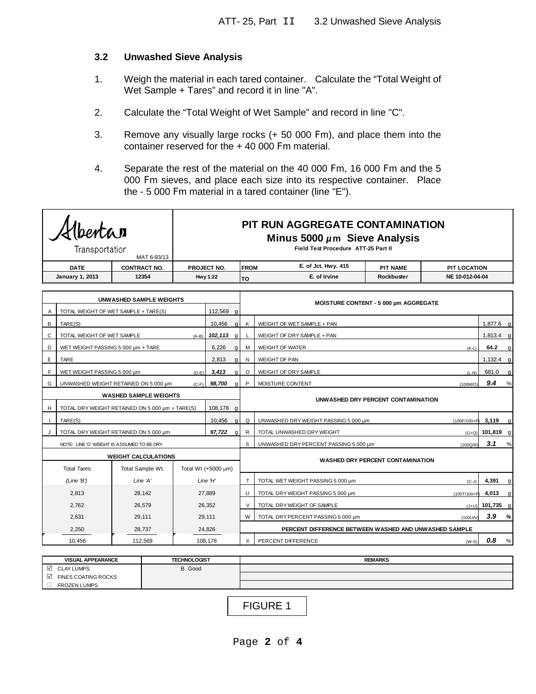### **3.2 Unwashed Sieve Analysis**

- 1. Weigh the material in each tared container. Calculate the "Total Weight of Wet Sample + Tares" and record it in line "A".
- 2. Calculate the "Total Weight of Wet Sample" and record in line "C".
- 3. Remove any visually large rocks (+ 50 000 Fm), and place them into the container reserved for the + 40 000 Fm material.
- 4. Separate the rest of the material on the 40 000 Fm, 16 000 Fm and the 5 000 Fm sieves, and place each size into its respective container. Place the - 5 000 Fm material in a tared container (line "E").

|                                            | bentar<br>Transportation                                              | PIT RUN AGGREGATE CONTAMINATION<br>Minus 5000 $\mu$ m Sieve Analysis<br>Field Test Procedure ATT-25 Part II |                     |              |                                       |                                                       |                                                       |                                         |             |                     |   |
|--------------------------------------------|-----------------------------------------------------------------------|-------------------------------------------------------------------------------------------------------------|---------------------|--------------|---------------------------------------|-------------------------------------------------------|-------------------------------------------------------|-----------------------------------------|-------------|---------------------|---|
|                                            | MAT 6-93/13<br><b>DATE</b><br><b>CONTRACT NO.</b>                     |                                                                                                             |                     | PROJECT NO.  |                                       |                                                       | E. of Jct. Hwy. 415<br><b>FROM</b><br><b>PIT NAME</b> |                                         |             | <b>PIT LOCATION</b> |   |
|                                            | <b>January 1, 2013</b><br>12354<br><b>Hwy 1:22</b>                    |                                                                                                             |                     | TO           | E. of Irvine<br>Rockbuster            |                                                       | NE 10-012-04-04                                       |                                         |             |                     |   |
|                                            |                                                                       |                                                                                                             |                     |              |                                       |                                                       |                                                       |                                         |             |                     |   |
|                                            |                                                                       | <b>UNWASHED SAMPLE WEIGHTS</b>                                                                              |                     |              |                                       |                                                       | MOISTURE CONTENT - 5 000 µm AGGREGATE                 |                                         |             |                     |   |
| Α                                          |                                                                       | TOTAL WEIGHT OF WET SAMPLE + TARE(S)                                                                        |                     | 112.569      | $\mathsf{q}$                          |                                                       |                                                       |                                         |             |                     |   |
| B                                          | TARE(S)                                                               |                                                                                                             |                     | 10,456       | $\alpha$                              | K                                                     | WEIGHT OF WET SAMPLE + PAN                            |                                         |             | $1,877.6$ q         |   |
| C                                          | TOTAL WEIGHT OF WET SAMPLE                                            |                                                                                                             | $(A-B)$             | $102, 113$ g |                                       |                                                       | WEIGHT OF DRY SAMPLE + PAN                            |                                         |             | $1,813.4$ g         |   |
| D                                          | WET WEIGHT PASSING 5 000 µm + TARE                                    |                                                                                                             |                     | 6,226        | $\alpha$                              | м                                                     | <b>WEIGHT OF WATER</b>                                |                                         | $(K-L)$     | 64.2                | g |
| E                                          | TARE                                                                  |                                                                                                             |                     | 2,813        | q                                     | N                                                     | WEIGHT OF PAN                                         |                                         |             | $1,132.4$ g         |   |
| E                                          | 3,413<br>WET WEIGHT PASSING 5 000 um<br>$(D-E)$                       |                                                                                                             |                     | αI           | $\circ$                               | WEIGHT OF DRY SAMPLE                                  |                                                       | $(L-N)$                                 | 681.0       | $\alpha$            |   |
| G                                          | 98,700<br>UNWASHED WEIGHT RETAINED ON 5 000 um<br>$\alpha$<br>$(C-F)$ |                                                                                                             |                     |              | P                                     | MOISTURE CONTENT                                      |                                                       | (100M/O)                                | 9.4         | %                   |   |
|                                            | <b>WASHED SAMPLE WEIGHTS</b>                                          |                                                                                                             |                     |              |                                       |                                                       |                                                       | UNWASHED DRY PERCENT CONTAMINATION      |             |                     |   |
| н                                          | 108.178<br>TOTAL DRY WEIGHT RETAINED ON 5 000 um + TARE(S)<br>a       |                                                                                                             |                     |              |                                       |                                                       |                                                       |                                         |             |                     |   |
|                                            | 10,456<br>TARE(S)                                                     |                                                                                                             | $\alpha$            | Q            | UNWASHED DRYWEIGHT PASSING 5 000 µm   |                                                       | (100F/100+P)                                          | 3,119                                   | g           |                     |   |
|                                            |                                                                       | TOTAL DRY WEIGHT RETAINED ON 5 000 um                                                                       |                     | 97,722       | $\alpha$                              | R                                                     | TOTAL UNWASHED DRY WEIGHT                             |                                         | $(G+Q)$     | $101,819$ g         |   |
| NOTE: LINE 'G' WEIGHT IS ASSUMED TO BE DRY |                                                                       |                                                                                                             |                     | S            | UNWASHED DRY PERCENT PASSING 5 000 µm |                                                       | (100Q/R)                                              | 3.1                                     | %           |                     |   |
| <b>WEIGHT CALCULATIONS</b>                 |                                                                       |                                                                                                             |                     |              |                                       |                                                       |                                                       |                                         |             |                     |   |
|                                            | <b>Total Tares</b>                                                    | Total Sample Wt.                                                                                            | Total Wt (+5000 μm) |              |                                       |                                                       |                                                       | <b>WASHED DRY PERCENT CONTAMINATION</b> |             |                     |   |
|                                            | (Line B')                                                             | Line 'A'                                                                                                    |                     | Line $H'$    |                                       | T                                                     | TOTAL WET WEIGHT PASSING 5 000 um                     |                                         | $(C-J)$     | 4,391               | g |
|                                            | 2,813                                                                 | 28.142                                                                                                      | 27,889              |              | U                                     | TOTAL DRY WEIGHT PASSING 5 000 µm                     |                                                       | (100T/100+P)                            | 4,013       | q                   |   |
|                                            | 2,762                                                                 | 26,579                                                                                                      | 26,352              |              | V                                     | TOTAL DRY WEIGHT OF SAMPLE                            |                                                       | $(J+U)$                                 | 101,735 g   |                     |   |
|                                            | 2,631                                                                 | 29,111                                                                                                      | 29,111              |              |                                       | W                                                     | TOTAL DRY PERCENT PASSING 5 000 um                    |                                         | $(100$ U/V) | 3.9                 | % |
|                                            | 2,250                                                                 | 28,737                                                                                                      |                     | 24,826       |                                       | PERCENT DIFFERENCE BETWEEN WASHED AND UNWASHED SAMPLE |                                                       |                                         |             |                     |   |
|                                            | 10.456                                                                | 112.569                                                                                                     |                     | 108.178      |                                       | X                                                     | PERCENT DIFFERENCE                                    |                                         | $(W-S)$     | 0.8                 | % |

| <b>VISUAL APPEARANCE</b> | <b>TECHNOLOGIST</b> | <b>REMARKS</b> |
|--------------------------|---------------------|----------------|
| ☑<br><b>CLAY LUMPS</b>   | B. Good             |                |
| ☑<br>FINES COATING ROCKS |                     |                |
| <b>FROZEN LUMPS</b>      |                     |                |

FIGURE 1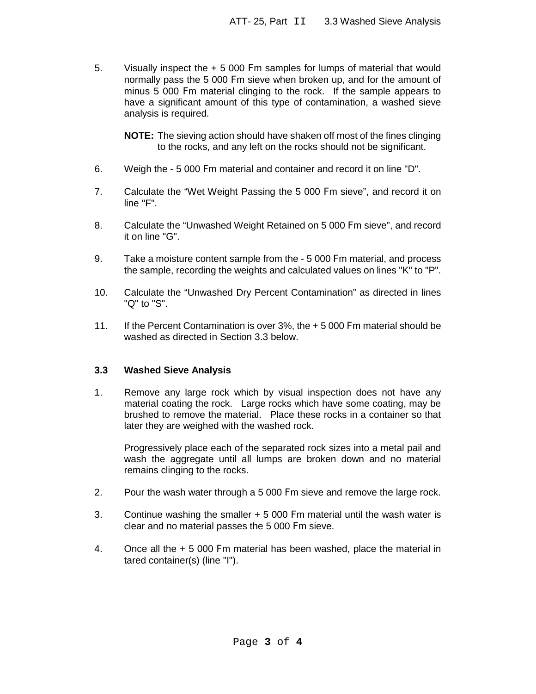5. Visually inspect the + 5 000 Fm samples for lumps of material that would normally pass the 5 000 Fm sieve when broken up, and for the amount of minus 5 000 Fm material clinging to the rock. If the sample appears to have a significant amount of this type of contamination, a washed sieve analysis is required.

**NOTE:** The sieving action should have shaken off most of the fines clinging to the rocks, and any left on the rocks should not be significant.

- 6. Weigh the 5 000 Fm material and container and record it on line "D".
- 7. Calculate the "Wet Weight Passing the 5 000 Fm sieve", and record it on line "F".
- 8. Calculate the "Unwashed Weight Retained on 5 000 Fm sieve", and record it on line "G".
- 9. Take a moisture content sample from the 5 000 Fm material, and process the sample, recording the weights and calculated values on lines "K" to "P".
- 10. Calculate the "Unwashed Dry Percent Contamination" as directed in lines "Q" to "S".
- 11. If the Percent Contamination is over 3%, the + 5 000 Fm material should be washed as directed in Section 3.3 below.

# **3.3 Washed Sieve Analysis**

1. Remove any large rock which by visual inspection does not have any material coating the rock. Large rocks which have some coating, may be brushed to remove the material. Place these rocks in a container so that later they are weighed with the washed rock.

Progressively place each of the separated rock sizes into a metal pail and wash the aggregate until all lumps are broken down and no material remains clinging to the rocks.

- 2. Pour the wash water through a 5 000 Fm sieve and remove the large rock.
- 3. Continue washing the smaller + 5 000 Fm material until the wash water is clear and no material passes the 5 000 Fm sieve.
- 4. Once all the + 5 000 Fm material has been washed, place the material in tared container(s) (line "I").